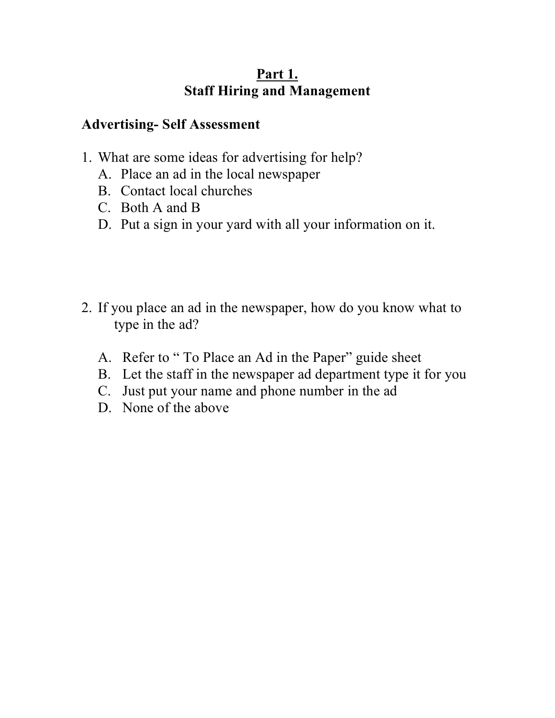#### **Advertising- Self Assessment**

- 1. What are some ideas for advertising for help?
	- A. Place an ad in the local newspaper
	- B. Contact local churches
	- C. Both A and B
	- D. Put a sign in your yard with all your information on it.
- 2. If you place an ad in the newspaper, how do you know what to type in the ad?
	- A. Refer to " To Place an Ad in the Paper" guide sheet
	- B. Let the staff in the newspaper ad department type it for you
	- C. Just put your name and phone number in the ad
	- D. None of the above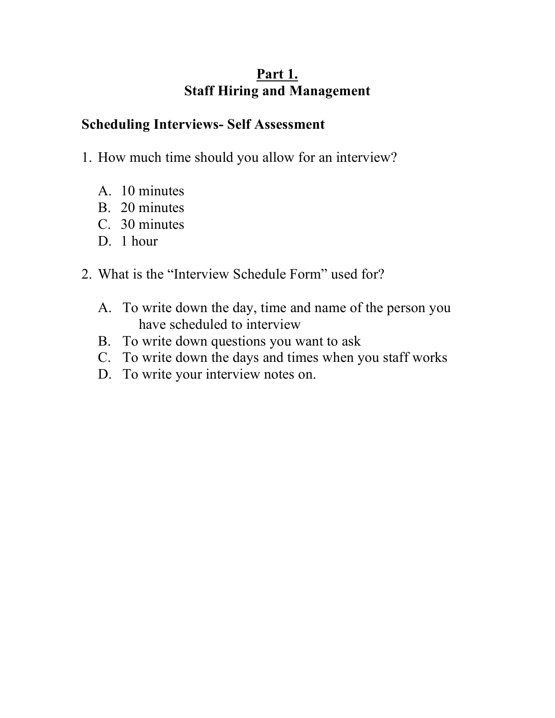#### **Scheduling Interviews- Self Assessment**

- 1. How much time should you allow for an interview?
	- A. 10 minutes
	- B. 20 minutes
	- C. 30 minutes
	- D 1 hour
- 2. What is the "Interview Schedule Form" used for?
	- A. To write down the day, time and name of the person you have scheduled to interview
	- B. To write down questions you want to ask
	- C. To write down the days and times when you staff works
	- D. To write your interview notes on.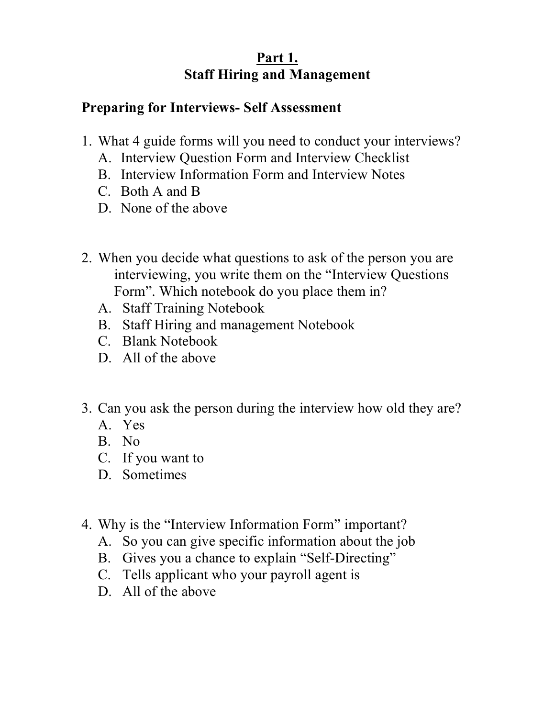# **Preparing for Interviews- Self Assessment**

- 1. What 4 guide forms will you need to conduct your interviews?
	- A. Interview Question Form and Interview Checklist
	- B. Interview Information Form and Interview Notes
	- C. Both A and B
	- D. None of the above
- 2. When you decide what questions to ask of the person you are interviewing, you write them on the "Interview Questions Form". Which notebook do you place them in?
	- A. Staff Training Notebook
	- B. Staff Hiring and management Notebook
	- C. Blank Notebook
	- D. All of the above
- 3. Can you ask the person during the interview how old they are?
	- A. Yes
	- B. No
	- C. If you want to
	- D. Sometimes
- 4. Why is the "Interview Information Form" important?
	- A. So you can give specific information about the job
	- B. Gives you a chance to explain "Self-Directing"
	- C. Tells applicant who your payroll agent is
	- D. All of the above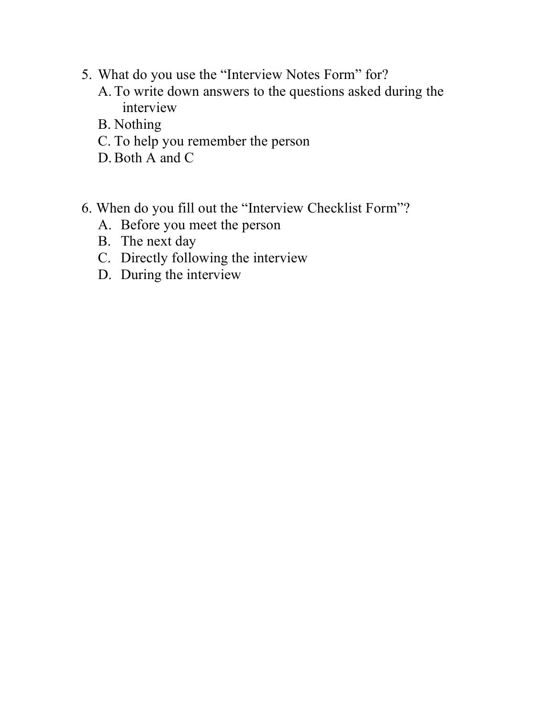- 5. What do you use the "Interview Notes Form" for?
	- A. To write down answers to the questions asked during the interview
	- B. Nothing
	- C. To help you remember the person
	- D.Both A and C
- 6. When do you fill out the "Interview Checklist Form"?
	- A. Before you meet the person
	- B. The next day
	- C. Directly following the interview
	- D. During the interview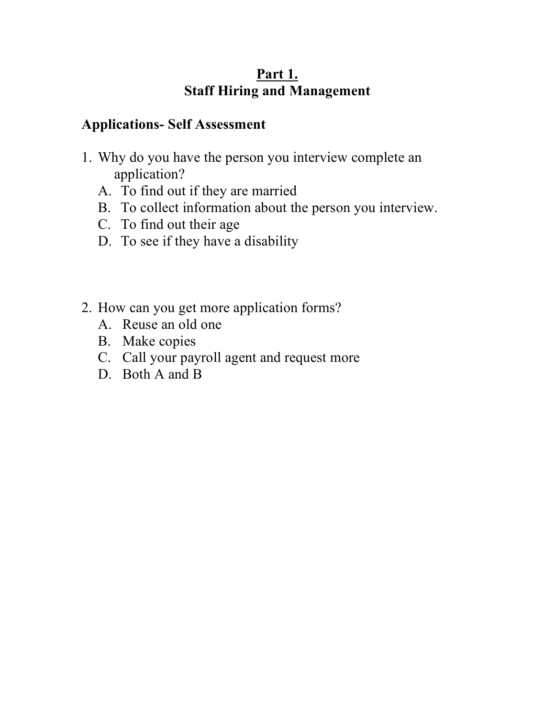#### **Applications- Self Assessment**

- 1. Why do you have the person you interview complete an application?
	- A. To find out if they are married
	- B. To collect information about the person you interview.
	- C. To find out their age
	- D. To see if they have a disability
- 2. How can you get more application forms?
	- A. Reuse an old one
	- B. Make copies
	- C. Call your payroll agent and request more
	- D. Both A and B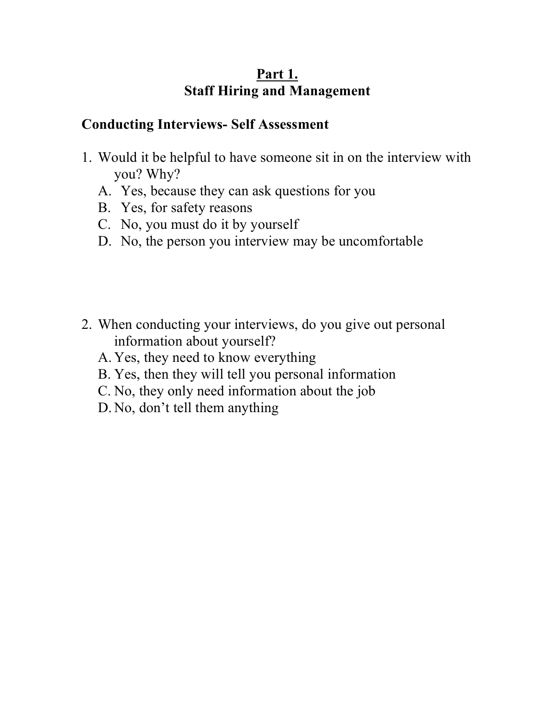#### **Conducting Interviews- Self Assessment**

- 1. Would it be helpful to have someone sit in on the interview with you? Why?
	- A. Yes, because they can ask questions for you
	- B. Yes, for safety reasons
	- C. No, you must do it by yourself
	- D. No, the person you interview may be uncomfortable
- 2. When conducting your interviews, do you give out personal information about yourself?
	- A. Yes, they need to know everything
	- B. Yes, then they will tell you personal information
	- C. No, they only need information about the job
	- D. No, don't tell them anything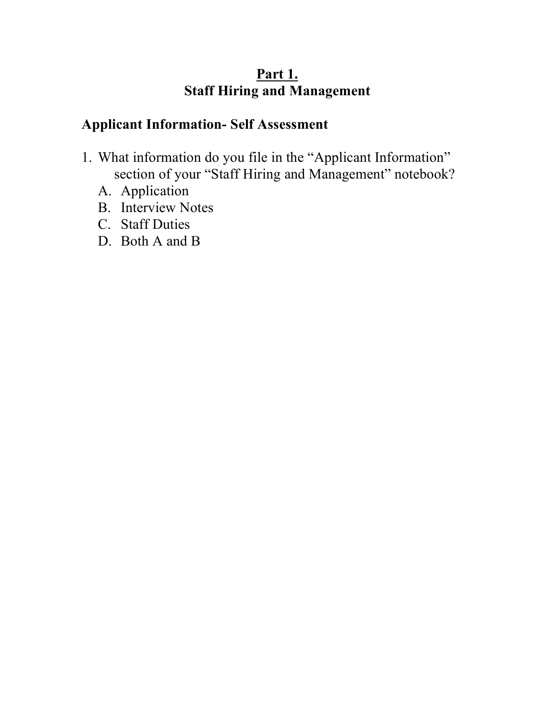# **Applicant Information- Self Assessment**

- 1. What information do you file in the "Applicant Information" section of your "Staff Hiring and Management" notebook?
	- A. Application
	- B. Interview Notes
	- C. Staff Duties
	- D. Both A and B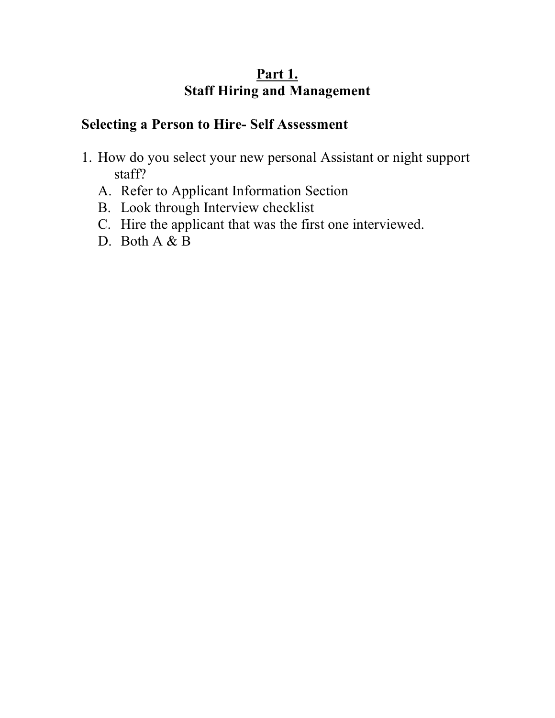#### **Selecting a Person to Hire- Self Assessment**

- 1. How do you select your new personal Assistant or night support staff?
	- A. Refer to Applicant Information Section
	- B. Look through Interview checklist
	- C. Hire the applicant that was the first one interviewed.
	- D. Both A & B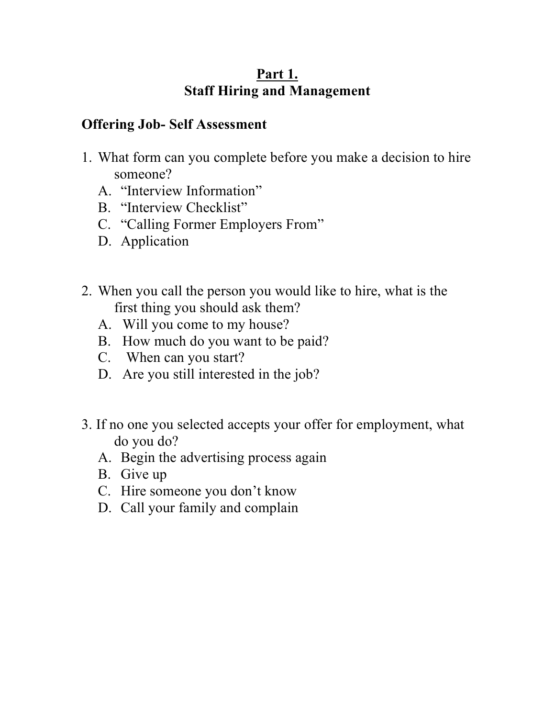#### **Offering Job- Self Assessment**

- 1. What form can you complete before you make a decision to hire someone?
	- A. "Interview Information"
	- B. "Interview Checklist"
	- C. "Calling Former Employers From"
	- D. Application
- 2. When you call the person you would like to hire, what is the first thing you should ask them?
	- A. Will you come to my house?
	- B. How much do you want to be paid?
	- C. When can you start?
	- D. Are you still interested in the job?
- 3. If no one you selected accepts your offer for employment, what do you do?
	- A. Begin the advertising process again
	- B. Give up
	- C. Hire someone you don't know
	- D. Call your family and complain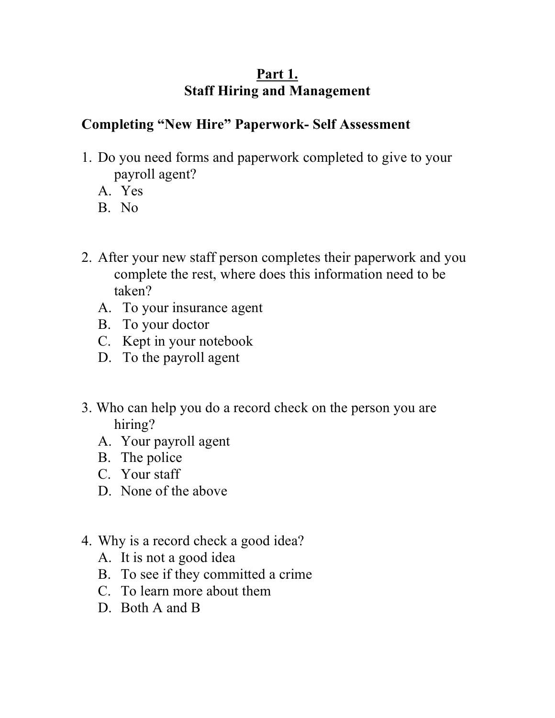# **Completing "New Hire" Paperwork- Self Assessment**

- 1. Do you need forms and paperwork completed to give to your payroll agent?
	- A. Yes
	- B. No
- 2. After your new staff person completes their paperwork and you complete the rest, where does this information need to be taken?
	- A. To your insurance agent
	- B. To your doctor
	- C. Kept in your notebook
	- D. To the payroll agent
- 3. Who can help you do a record check on the person you are hiring?
	- A. Your payroll agent
	- B. The police
	- C. Your staff
	- D. None of the above
- 4. Why is a record check a good idea?
	- A. It is not a good idea
	- B. To see if they committed a crime
	- C. To learn more about them
	- D. Both A and B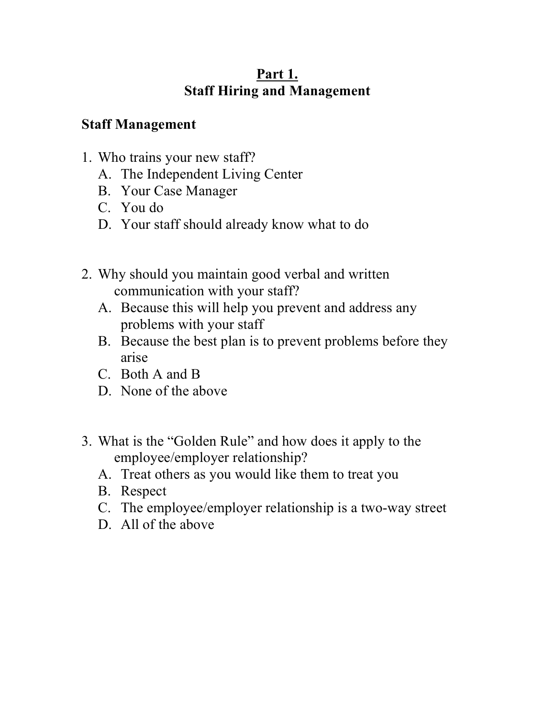# **Staff Management**

- 1. Who trains your new staff?
	- A. The Independent Living Center
	- B. Your Case Manager
	- C. You do
	- D. Your staff should already know what to do
- 2. Why should you maintain good verbal and written communication with your staff?
	- A. Because this will help you prevent and address any problems with your staff
	- B. Because the best plan is to prevent problems before they arise
	- C. Both A and B
	- D. None of the above
- 3. What is the "Golden Rule" and how does it apply to the employee/employer relationship?
	- A. Treat others as you would like them to treat you
	- B. Respect
	- C. The employee/employer relationship is a two-way street
	- D. All of the above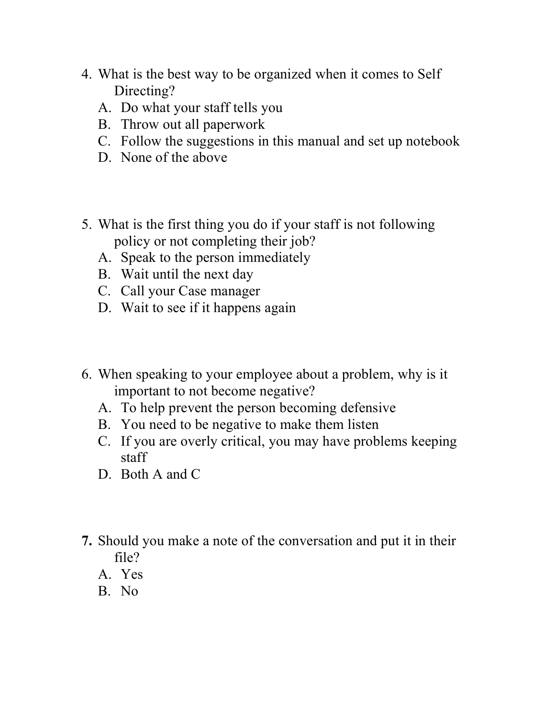- 4. What is the best way to be organized when it comes to Self Directing?
	- A. Do what your staff tells you
	- B. Throw out all paperwork
	- C. Follow the suggestions in this manual and set up notebook
	- D. None of the above
- 5. What is the first thing you do if your staff is not following policy or not completing their job?
	- A. Speak to the person immediately
	- B. Wait until the next day
	- C. Call your Case manager
	- D. Wait to see if it happens again
- 6. When speaking to your employee about a problem, why is it important to not become negative?
	- A. To help prevent the person becoming defensive
	- B. You need to be negative to make them listen
	- C. If you are overly critical, you may have problems keeping staff
	- D. Both A and C
- **7.** Should you make a note of the conversation and put it in their file?
	- A. Yes
	- B. No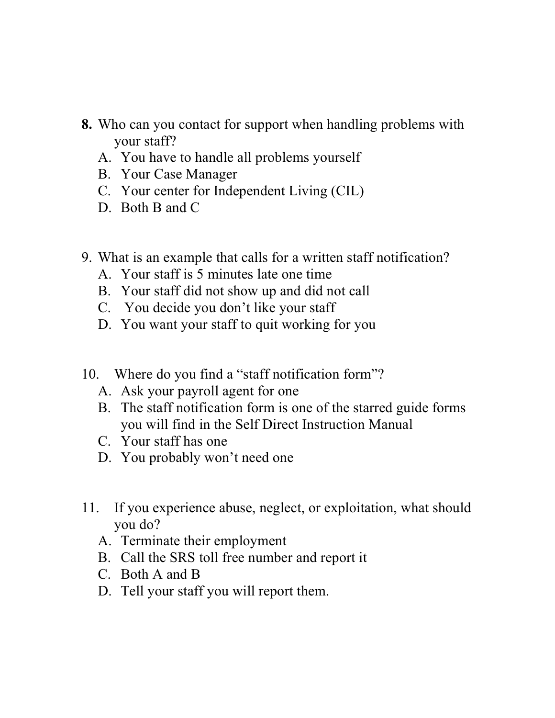- **8.** Who can you contact for support when handling problems with your staff?
	- A. You have to handle all problems yourself
	- B. Your Case Manager
	- C. Your center for Independent Living (CIL)
	- D. Both B and C
- 9. What is an example that calls for a written staff notification?
	- A. Your staff is 5 minutes late one time
	- B. Your staff did not show up and did not call
	- C. You decide you don't like your staff
	- D. You want your staff to quit working for you
- 10. Where do you find a "staff notification form"?
	- A. Ask your payroll agent for one
	- B. The staff notification form is one of the starred guide forms you will find in the Self Direct Instruction Manual
	- C. Your staff has one
	- D. You probably won't need one
- 11. If you experience abuse, neglect, or exploitation, what should you do?
	- A. Terminate their employment
	- B. Call the SRS toll free number and report it
	- C. Both A and B
	- D. Tell your staff you will report them.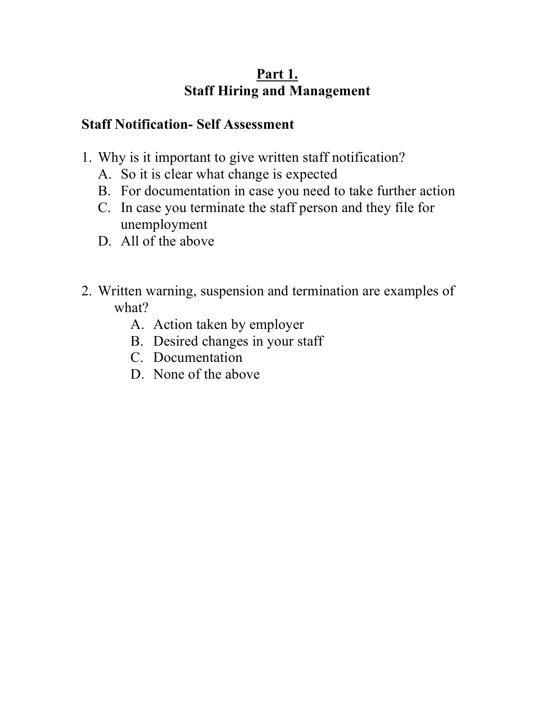# **Staff Notification- Self Assessment**

- 1. Why is it important to give written staff notification?
	- A. So it is clear what change is expected
	- B. For documentation in case you need to take further action
	- C. In case you terminate the staff person and they file for unemployment
	- D. All of the above
- 2. Written warning, suspension and termination are examples of what?
	- A. Action taken by employer
	- B. Desired changes in your staff
	- C. Documentation
	- D. None of the above